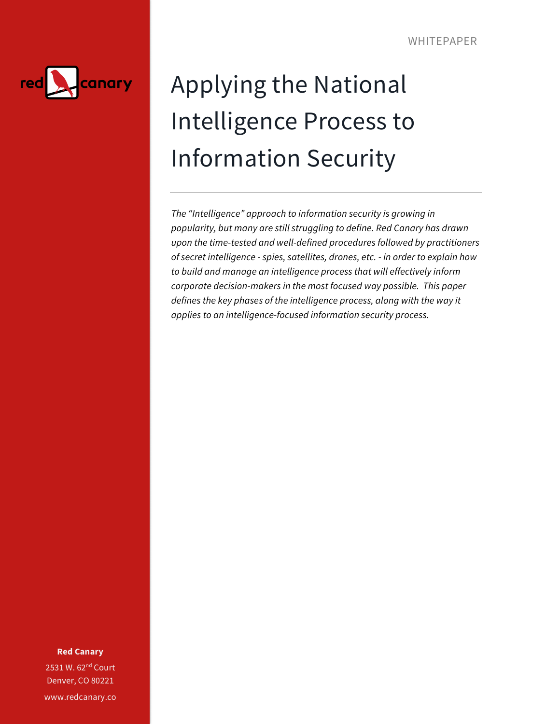

# Applying the National Intelligence Process to Information Security

*The "Intelligence" approach to information security is growing in popularity, but many are still struggling to define. Red Canary has drawn upon the time-tested and well-defined procedures followed by practitioners of secret intelligence - spies, satellites, drones, etc. - in order to explain how to build and manage an intelligence process that will effectively inform corporate decision-makers in the most focused way possible. This paper defines the key phases of the intelligence process, along with the way it applies to an intelligence-focused information security process.*

**Red Canary**

2531 W. 62<sup>nd</sup> Court Denver, CO 80221 www.redcanary.co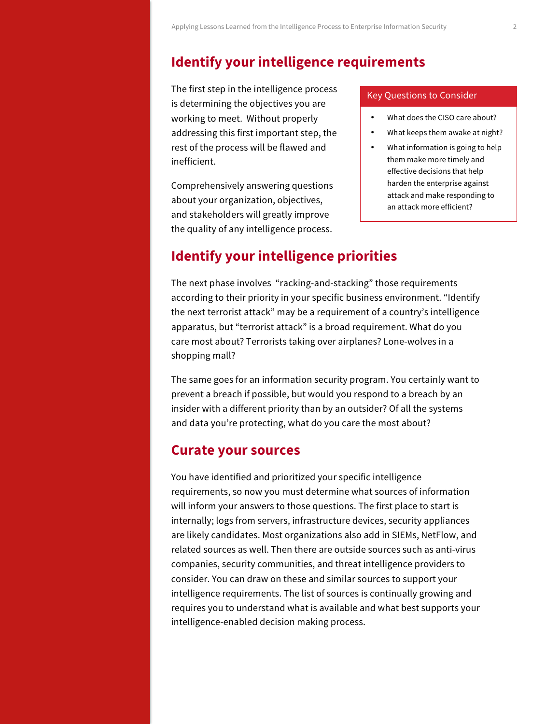# **Identify your intelligence requirements**

The first step in the intelligence process is determining the objectives you are working to meet. Without properly addressing this first important step, the rest of the process will be flawed and inefficient.

Comprehensively answering questions about your organization, objectives, and stakeholders will greatly improve the quality of any intelligence process.

### Key Questions to Consider

- What does the CISO care about?
- What keeps them awake at night?
- What information is going to help them make more timely and effective decisions that help harden the enterprise against attack and make responding to an attack more efficient?

### **Identify your intelligence priorities**

The next phase involves "racking-and-stacking" those requirements according to their priority in your specific business environment. "Identify the next terrorist attack" may be a requirement of a country's intelligence apparatus, but "terrorist attack" is a broad requirement. What do you care most about? Terrorists taking over airplanes? Lone-wolves in a shopping mall?

The same goes for an information security program. You certainly want to prevent a breach if possible, but would you respond to a breach by an insider with a different priority than by an outsider? Of all the systems and data you're protecting, what do you care the most about?

### **Curate your sources**

You have identified and prioritized your specific intelligence requirements, so now you must determine what sources of information will inform your answers to those questions. The first place to start is internally; logs from servers, infrastructure devices, security appliances are likely candidates. Most organizations also add in SIEMs, NetFlow, and related sources as well. Then there are outside sources such as anti-virus companies, security communities, and threat intelligence providers to consider. You can draw on these and similar sources to support your intelligence requirements. The list of sources is continually growing and requires you to understand what is available and what best supports your intelligence-enabled decision making process.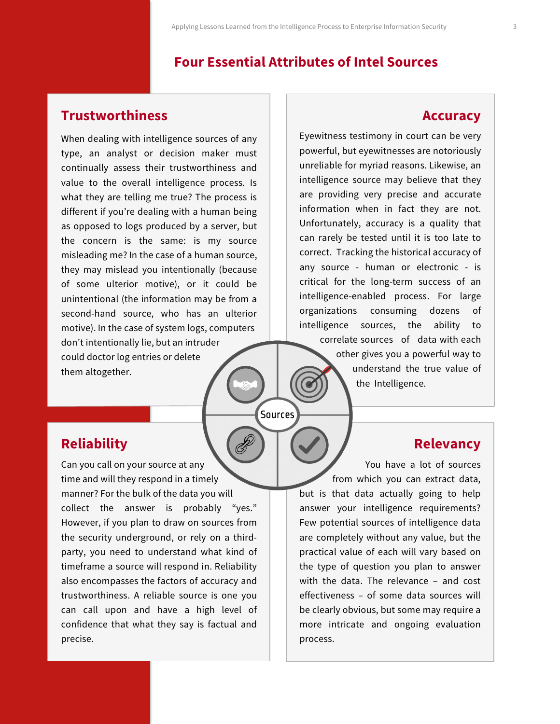# **Four Essential Attributes of Intel Sources**

### **Trustworthiness**

When dealing with intelligence sources of any type, an analyst or decision maker must continually assess their trustworthiness and value to the overall intelligence process. Is what they are telling me true? The process is different if you're dealing with a human being as opposed to logs produced by a server, but the concern is the same: is my source misleading me? In the case of a human source, they may mislead you intentionally (because of some ulterior motive), or it could be unintentional (the information may be from a second-hand source, who has an ulterior motive). In the case of system logs, computers don't intentionally lie, but an intruder could doctor log entries or delete them altogether.

**Reliability**

Can you call on your source at any time and will they respond in a timely manner? For the bulk of the data you will collect the answer is probably "yes." However, if you plan to draw on sources from the security underground, or rely on a thirdparty, you need to understand what kind of timeframe a source will respond in. Reliability also encompasses the factors of accuracy and trustworthiness. A reliable source is one you can call upon and have a high level of confidence that what they say is factual and precise.

### **Accuracy**

Eyewitness testimony in court can be very powerful, but eyewitnesses are notoriously unreliable for myriad reasons. Likewise, an intelligence source may believe that they are providing very precise and accurate information when in fact they are not. Unfortunately, accuracy is a quality that can rarely be tested until it is too late to correct. Tracking the historical accuracy of any source - human or electronic - is critical for the long-term success of an intelligence-enabled process. For large organizations consuming dozens of intelligence sources, the ability to correlate sources of data with each other gives you a powerful way to

> understand the true value of the Intelligence.

*Sources* 

### **Relevancy**

You have a lot of sources from which you can extract data, but is that data actually going to help answer your intelligence requirements? Few potential sources of intelligence data are completely without any value, but the practical value of each will vary based on the type of question you plan to answer with the data. The relevance – and cost effectiveness – of some data sources will be clearly obvious, but some may require a more intricate and ongoing evaluation process.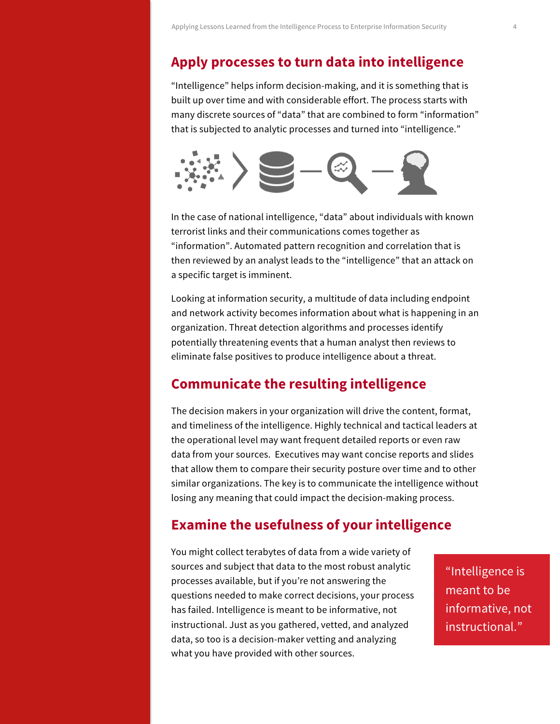# **Apply processes to turn data into intelligence**

"Intelligence" helps inform decision-making, and it is something that is built up over time and with considerable effort. The process starts with many discrete sources of "data" that are combined to form "information" that is subjected to analytic processes and turned into "intelligence."



In the case of national intelligence, "data" about individuals with known terrorist links and their communications comes together as "information". Automated pattern recognition and correlation that is then reviewed by an analyst leads to the "intelligence" that an attack on a specific target is imminent.

Looking at information security, a multitude of data including endpoint and network activity becomes information about what is happening in an organization. Threat detection algorithms and processes identify potentially threatening events that a human analyst then reviews to eliminate false positives to produce intelligence about a threat.

# **Communicate the resulting intelligence**

The decision makers in your organization will drive the content, format, and timeliness of the intelligence. Highly technical and tactical leaders at the operational level may want frequent detailed reports or even raw data from your sources. Executives may want concise reports and slides that allow them to compare their security posture over time and to other similar organizations. The key is to communicate the intelligence without losing any meaning that could impact the decision-making process.

# **Examine the usefulness of your intelligence**

You might collect terabytes of data from a wide variety of sources and subject that data to the most robust analytic processes available, but if you're not answering the questions needed to make correct decisions, your process has failed. Intelligence is meant to be informative, not instructional. Just as you gathered, vetted, and analyzed data, so too is a decision-maker vetting and analyzing what you have provided with other sources.

"Intelligence is meant to be informative, not instructional."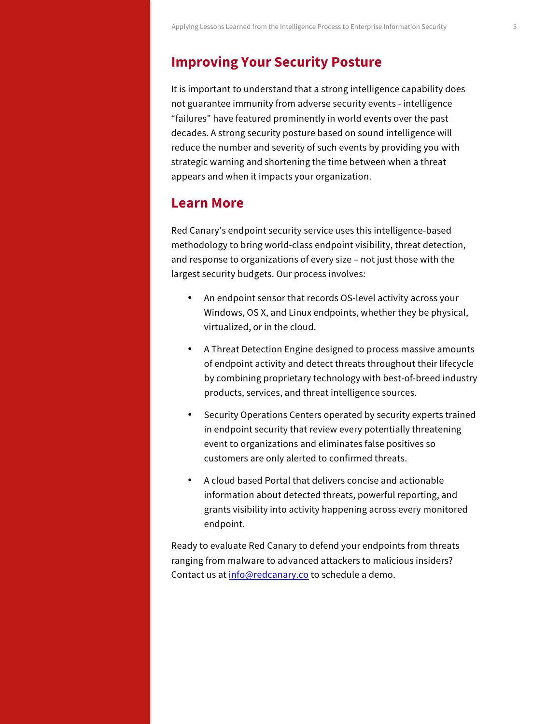### **Improving Your Security Posture**

It is important to understand that a strong intelligence capability does not guarantee immunity from adverse security events - intelligence "failures" have featured prominently in world events over the past decades. A strong security posture based on sound intelligence will reduce the number and severity of such events by providing you with strategic warning and shortening the time between when a threat appears and when it impacts your organization.

### **Learn More**

Red Canary's endpoint security service uses this intelligence-based methodology to bring world-class endpoint visibility, threat detection, and response to organizations of every size – not just those with the largest security budgets. Our process involves:

- An endpoint sensor that records OS-level activity across your Windows, OS X, and Linux endpoints, whether they be physical, virtualized, or in the cloud.
- A Threat Detection Engine designed to process massive amounts of endpoint activity and detect threats throughout their lifecycle by combining proprietary technology with best-of-breed industry products, services, and threat intelligence sources.
- Security Operations Centers operated by security experts trained in endpoint security that review every potentially threatening event to organizations and eliminates false positives so customers are only alerted to confirmed threats.
- A cloud based Portal that delivers concise and actionable information about detected threats, powerful reporting, and grants visibility into activity happening across every monitored endpoint.

Ready to evaluate Red Canary to defend your endpoints from threats ranging from malware to advanced attackers to malicious insiders? Contact us at info@redcanary.co to schedule a demo.